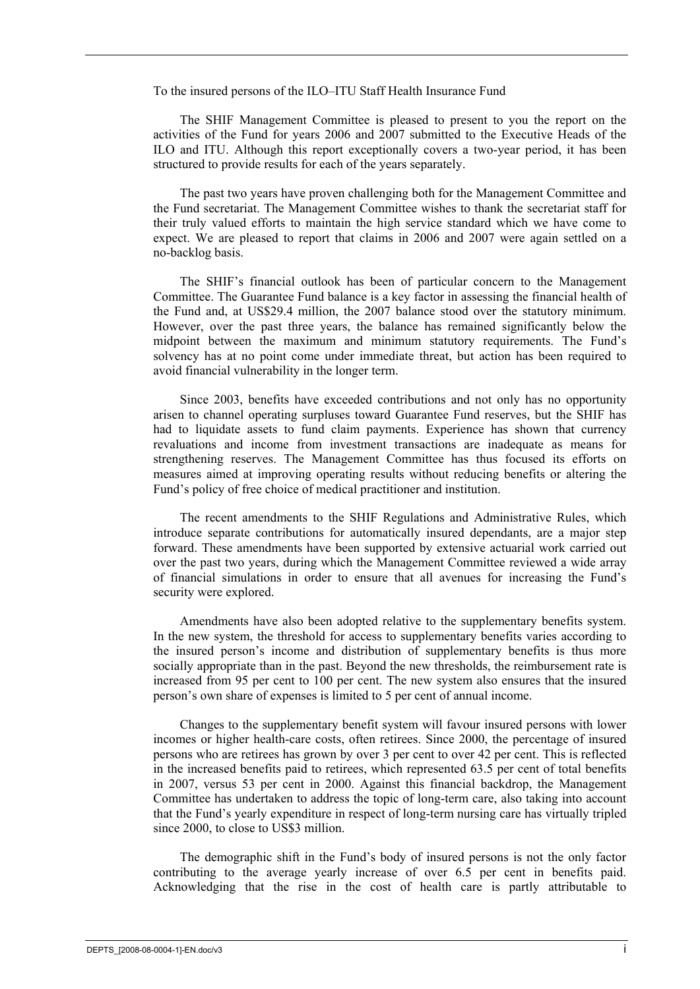To the insured persons of the ILO–ITU Staff Health Insurance Fund

The SHIF Management Committee is pleased to present to you the report on the activities of the Fund for years 2006 and 2007 submitted to the Executive Heads of the ILO and ITU. Although this report exceptionally covers a two-year period, it has been structured to provide results for each of the years separately.

The past two years have proven challenging both for the Management Committee and the Fund secretariat. The Management Committee wishes to thank the secretariat staff for their truly valued efforts to maintain the high service standard which we have come to expect. We are pleased to report that claims in 2006 and 2007 were again settled on a no-backlog basis.

The SHIF's financial outlook has been of particular concern to the Management Committee. The Guarantee Fund balance is a key factor in assessing the financial health of the Fund and, at US\$29.4 million, the 2007 balance stood over the statutory minimum. However, over the past three years, the balance has remained significantly below the midpoint between the maximum and minimum statutory requirements. The Fund's solvency has at no point come under immediate threat, but action has been required to avoid financial vulnerability in the longer term.

Since 2003, benefits have exceeded contributions and not only has no opportunity arisen to channel operating surpluses toward Guarantee Fund reserves, but the SHIF has had to liquidate assets to fund claim payments. Experience has shown that currency revaluations and income from investment transactions are inadequate as means for strengthening reserves. The Management Committee has thus focused its efforts on measures aimed at improving operating results without reducing benefits or altering the Fund's policy of free choice of medical practitioner and institution.

The recent amendments to the SHIF Regulations and Administrative Rules, which introduce separate contributions for automatically insured dependants, are a major step forward. These amendments have been supported by extensive actuarial work carried out over the past two years, during which the Management Committee reviewed a wide array of financial simulations in order to ensure that all avenues for increasing the Fund's security were explored.

Amendments have also been adopted relative to the supplementary benefits system. In the new system, the threshold for access to supplementary benefits varies according to the insured person's income and distribution of supplementary benefits is thus more socially appropriate than in the past. Beyond the new thresholds, the reimbursement rate is increased from 95 per cent to 100 per cent. The new system also ensures that the insured person's own share of expenses is limited to 5 per cent of annual income.

Changes to the supplementary benefit system will favour insured persons with lower incomes or higher health-care costs, often retirees. Since 2000, the percentage of insured persons who are retirees has grown by over 3 per cent to over 42 per cent. This is reflected in the increased benefits paid to retirees, which represented 63.5 per cent of total benefits in 2007, versus 53 per cent in 2000. Against this financial backdrop, the Management Committee has undertaken to address the topic of long-term care, also taking into account that the Fund's yearly expenditure in respect of long-term nursing care has virtually tripled since 2000, to close to US\$3 million.

The demographic shift in the Fund's body of insured persons is not the only factor contributing to the average yearly increase of over 6.5 per cent in benefits paid. Acknowledging that the rise in the cost of health care is partly attributable to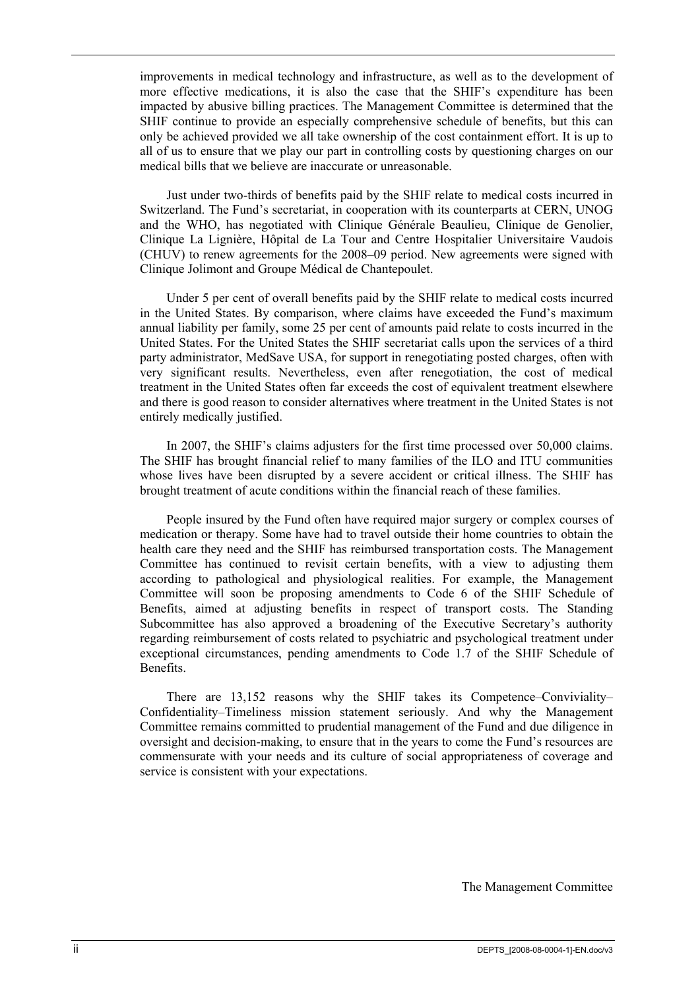improvements in medical technology and infrastructure, as well as to the development of more effective medications, it is also the case that the SHIF's expenditure has been impacted by abusive billing practices. The Management Committee is determined that the SHIF continue to provide an especially comprehensive schedule of benefits, but this can only be achieved provided we all take ownership of the cost containment effort. It is up to all of us to ensure that we play our part in controlling costs by questioning charges on our medical bills that we believe are inaccurate or unreasonable.

Just under two-thirds of benefits paid by the SHIF relate to medical costs incurred in Switzerland. The Fund's secretariat, in cooperation with its counterparts at CERN, UNOG and the WHO, has negotiated with Clinique Générale Beaulieu, Clinique de Genolier, Clinique La Lignière, Hôpital de La Tour and Centre Hospitalier Universitaire Vaudois (CHUV) to renew agreements for the 2008–09 period. New agreements were signed with Clinique Jolimont and Groupe Médical de Chantepoulet.

Under 5 per cent of overall benefits paid by the SHIF relate to medical costs incurred in the United States. By comparison, where claims have exceeded the Fund's maximum annual liability per family, some 25 per cent of amounts paid relate to costs incurred in the United States. For the United States the SHIF secretariat calls upon the services of a third party administrator, MedSave USA, for support in renegotiating posted charges, often with very significant results. Nevertheless, even after renegotiation, the cost of medical treatment in the United States often far exceeds the cost of equivalent treatment elsewhere and there is good reason to consider alternatives where treatment in the United States is not entirely medically justified.

In 2007, the SHIF's claims adjusters for the first time processed over 50,000 claims. The SHIF has brought financial relief to many families of the ILO and ITU communities whose lives have been disrupted by a severe accident or critical illness. The SHIF has brought treatment of acute conditions within the financial reach of these families.

People insured by the Fund often have required major surgery or complex courses of medication or therapy. Some have had to travel outside their home countries to obtain the health care they need and the SHIF has reimbursed transportation costs. The Management Committee has continued to revisit certain benefits, with a view to adjusting them according to pathological and physiological realities. For example, the Management Committee will soon be proposing amendments to Code 6 of the SHIF Schedule of Benefits, aimed at adjusting benefits in respect of transport costs. The Standing Subcommittee has also approved a broadening of the Executive Secretary's authority regarding reimbursement of costs related to psychiatric and psychological treatment under exceptional circumstances, pending amendments to Code 1.7 of the SHIF Schedule of Benefits.

There are 13,152 reasons why the SHIF takes its Competence–Conviviality– Confidentiality–Timeliness mission statement seriously. And why the Management Committee remains committed to prudential management of the Fund and due diligence in oversight and decision-making, to ensure that in the years to come the Fund's resources are commensurate with your needs and its culture of social appropriateness of coverage and service is consistent with your expectations.

The Management Committee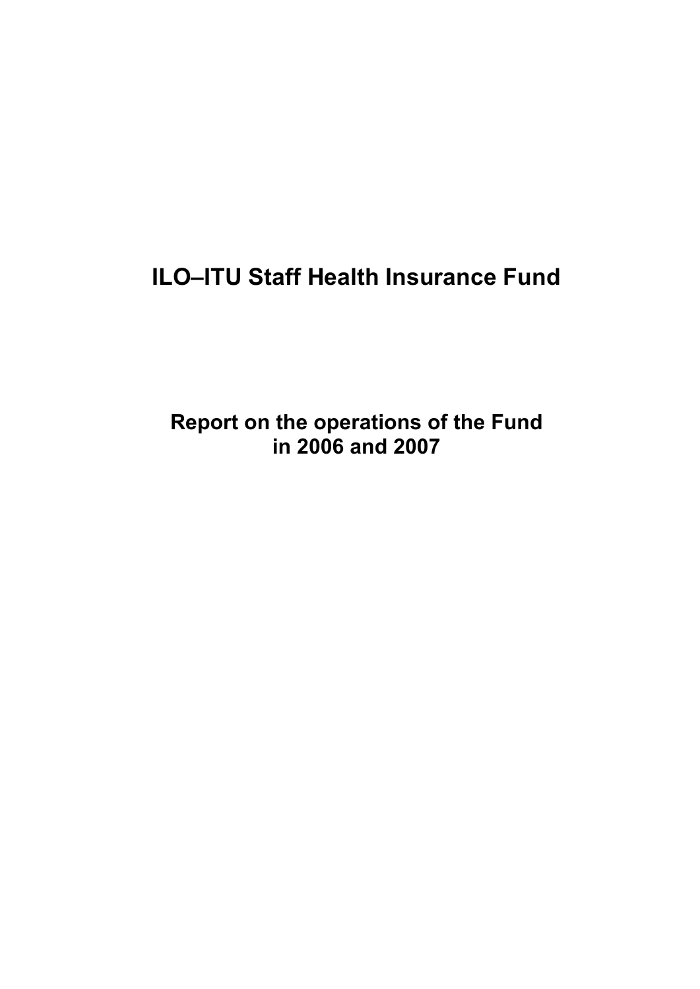# **ILO–ITU Staff Health Insurance Fund**

**Report on the operations of the Fund in 2006 and 2007**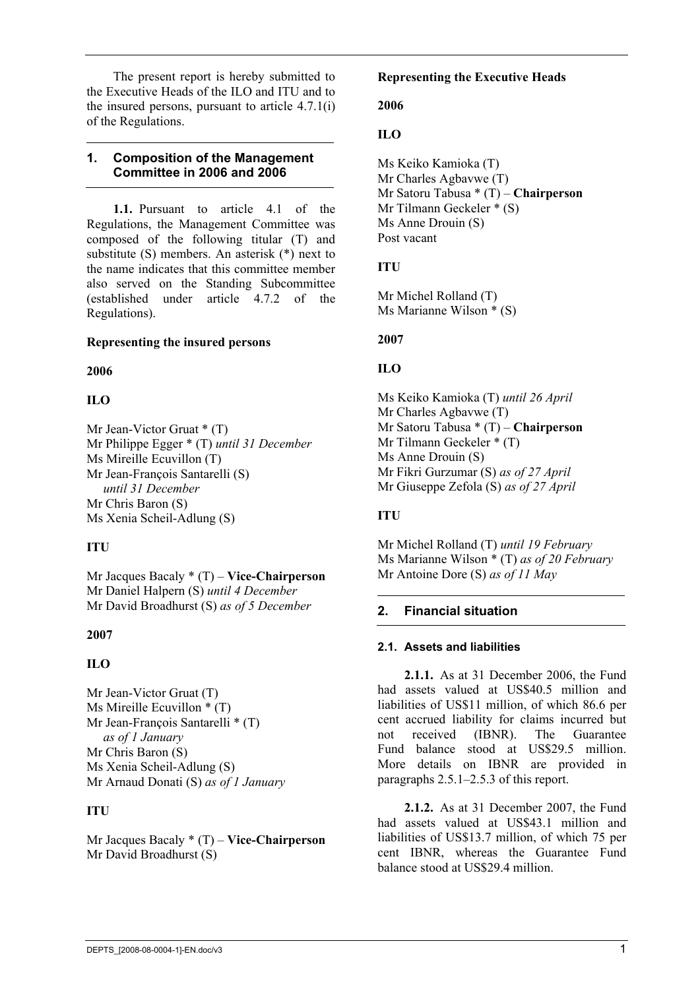The present report is hereby submitted to the Executive Heads of the ILO and ITU and to the insured persons, pursuant to article 4.7.1(i) of the Regulations.

#### **1. Composition of the Management Committee in 2006 and 2006**

**1.1.** Pursuant to article 4.1 of the Regulations, the Management Committee was composed of the following titular (T) and substitute (S) members. An asterisk (\*) next to the name indicates that this committee member also served on the Standing Subcommittee (established under article 4.7.2 of the Regulations).

#### **Representing the insured persons**

#### **2006**

#### **ILO**

Mr Jean-Victor Gruat \* (T) Mr Philippe Egger \* (T) *until 31 December*  Ms Mireille Ecuvillon (T) Mr Jean-François Santarelli (S) *until 31 December*  Mr Chris Baron (S) Ms Xenia Scheil-Adlung (S)

#### **ITU**

Mr Jacques Bacaly \* (T) – **Vice-Chairperson** Mr Daniel Halpern (S) *until 4 December*  Mr David Broadhurst (S) *as of 5 December*

#### **2007**

#### **ILO**

Mr Jean-Victor Gruat (T) Ms Mireille Ecuvillon \* (T) Mr Jean-François Santarelli \* (T) *as of 1 January*  Mr Chris Baron (S) Ms Xenia Scheil-Adlung (S) Mr Arnaud Donati (S) *as of 1 January*

#### **ITU**

Mr Jacques Bacaly \* (T) – **Vice-Chairperson** Mr David Broadhurst (S)

#### **Representing the Executive Heads**

#### **2006**

#### **ILO**

Ms Keiko Kamioka (T) Mr Charles Agbavwe (T) Mr Satoru Tabusa \* (T) – **Chairperson** Mr Tilmann Geckeler \* (S) Ms Anne Drouin (S) Post vacant

#### **ITU**

Mr Michel Rolland (T) Ms Marianne Wilson \* (S)

#### **2007**

#### **ILO**

Ms Keiko Kamioka (T) *until 26 April* Mr Charles Agbavwe (T) Mr Satoru Tabusa \* (T) – **Chairperson** Mr Tilmann Geckeler \* (T) Ms Anne Drouin (S) Mr Fikri Gurzumar (S) *as of 27 April* Mr Giuseppe Zefola (S) *as of 27 April*

#### **ITU**

Mr Michel Rolland (T) *until 19 February* Ms Marianne Wilson \* (T) *as of 20 February*  Mr Antoine Dore (S) *as of 11 May* 

#### **2. Financial situation**

#### **2.1. Assets and liabilities**

**2.1.1.** As at 31 December 2006, the Fund had assets valued at US\$40.5 million and liabilities of US\$11 million, of which 86.6 per cent accrued liability for claims incurred but not received (IBNR). The Guarantee Fund balance stood at US\$29.5 million. More details on IBNR are provided in paragraphs 2.5.1–2.5.3 of this report.

**2.1.2.** As at 31 December 2007, the Fund had assets valued at US\$43.1 million and liabilities of US\$13.7 million, of which 75 per cent IBNR, whereas the Guarantee Fund balance stood at US\$29.4 million.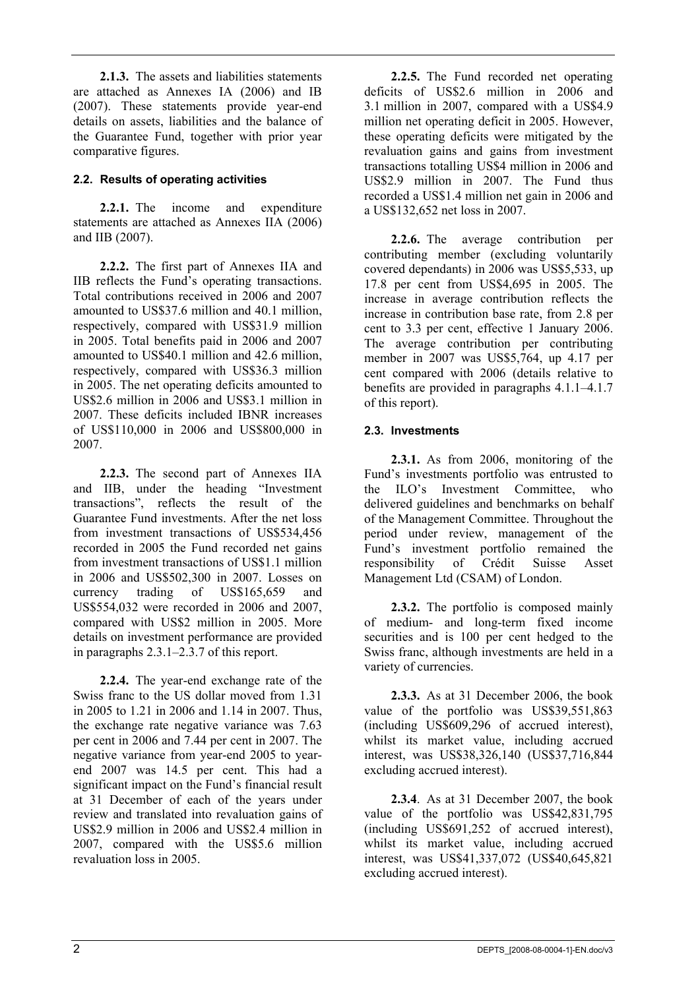**2.1.3.** The assets and liabilities statements are attached as Annexes IA (2006) and IB (2007). These statements provide year-end details on assets, liabilities and the balance of the Guarantee Fund, together with prior year comparative figures.

#### **2.2. Results of operating activities**

**2.2.1.** The income and expenditure statements are attached as Annexes IIA (2006) and IIB (2007).

**2.2.2.** The first part of Annexes IIA and IIB reflects the Fund's operating transactions. Total contributions received in 2006 and 2007 amounted to US\$37.6 million and 40.1 million, respectively, compared with US\$31.9 million in 2005. Total benefits paid in 2006 and 2007 amounted to US\$40.1 million and 42.6 million, respectively, compared with US\$36.3 million in 2005. The net operating deficits amounted to US\$2.6 million in 2006 and US\$3.1 million in 2007. These deficits included IBNR increases of US\$110,000 in 2006 and US\$800,000 in 2007.

**2.2.3.** The second part of Annexes IIA and IIB, under the heading "Investment transactions", reflects the result of the Guarantee Fund investments. After the net loss from investment transactions of US\$534,456 recorded in 2005 the Fund recorded net gains from investment transactions of US\$1.1 million in 2006 and US\$502,300 in 2007. Losses on currency trading of US\$165,659 and US\$554,032 were recorded in 2006 and 2007, compared with US\$2 million in 2005. More details on investment performance are provided in paragraphs 2.3.1–2.3.7 of this report.

**2.2.4.** The year-end exchange rate of the Swiss franc to the US dollar moved from 1.31 in 2005 to 1.21 in 2006 and 1.14 in 2007. Thus, the exchange rate negative variance was 7.63 per cent in 2006 and 7.44 per cent in 2007. The negative variance from year-end 2005 to yearend 2007 was 14.5 per cent. This had a significant impact on the Fund's financial result at 31 December of each of the years under review and translated into revaluation gains of US\$2.9 million in 2006 and US\$2.4 million in 2007, compared with the US\$5.6 million revaluation loss in 2005.

**2.2.5.** The Fund recorded net operating deficits of US\$2.6 million in 2006 and 3.1 million in 2007, compared with a US\$4.9 million net operating deficit in 2005. However, these operating deficits were mitigated by the revaluation gains and gains from investment transactions totalling US\$4 million in 2006 and US\$2.9 million in 2007. The Fund thus recorded a US\$1.4 million net gain in 2006 and a US\$132,652 net loss in 2007.

**2.2.6.** The average contribution per contributing member (excluding voluntarily covered dependants) in 2006 was US\$5,533, up 17.8 per cent from US\$4,695 in 2005. The increase in average contribution reflects the increase in contribution base rate, from 2.8 per cent to 3.3 per cent, effective 1 January 2006. The average contribution per contributing member in 2007 was US\$5,764, up 4.17 per cent compared with 2006 (details relative to benefits are provided in paragraphs 4.1.1–4.1.7 of this report).

#### **2.3. Investments**

**2.3.1.** As from 2006, monitoring of the Fund's investments portfolio was entrusted to the ILO's Investment Committee, who delivered guidelines and benchmarks on behalf of the Management Committee. Throughout the period under review, management of the Fund's investment portfolio remained the responsibility of Crédit Suisse Asset Management Ltd (CSAM) of London.

**2.3.2.** The portfolio is composed mainly of medium- and long-term fixed income securities and is 100 per cent hedged to the Swiss franc, although investments are held in a variety of currencies.

**2.3.3.** As at 31 December 2006, the book value of the portfolio was US\$39,551,863 (including US\$609,296 of accrued interest), whilst its market value, including accrued interest, was US\$38,326,140 (US\$37,716,844 excluding accrued interest).

**2.3.4**. As at 31 December 2007, the book value of the portfolio was US\$42,831,795 (including US\$691,252 of accrued interest), whilst its market value, including accrued interest, was US\$41,337,072 (US\$40,645,821 excluding accrued interest).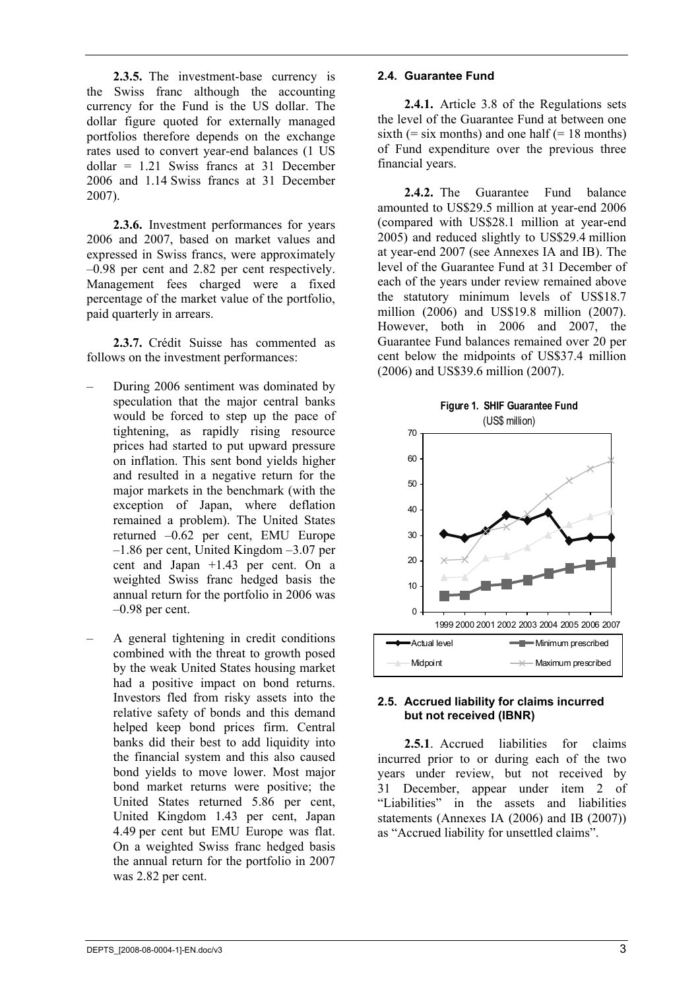**2.3.5.** The investment-base currency is the Swiss franc although the accounting currency for the Fund is the US dollar. The dollar figure quoted for externally managed portfolios therefore depends on the exchange rates used to convert year-end balances (1 US dollar = 1.21 Swiss francs at 31 December 2006 and 1.14 Swiss francs at 31 December 2007).

**2.3.6.** Investment performances for years 2006 and 2007, based on market values and expressed in Swiss francs, were approximately –0.98 per cent and 2.82 per cent respectively. Management fees charged were a fixed percentage of the market value of the portfolio, paid quarterly in arrears.

**2.3.7.** Crédit Suisse has commented as follows on the investment performances:

- During 2006 sentiment was dominated by speculation that the major central banks would be forced to step up the pace of tightening, as rapidly rising resource prices had started to put upward pressure on inflation. This sent bond yields higher and resulted in a negative return for the major markets in the benchmark (with the exception of Japan, where deflation remained a problem). The United States returned –0.62 per cent, EMU Europe –1.86 per cent, United Kingdom –3.07 per cent and Japan +1.43 per cent. On a weighted Swiss franc hedged basis the annual return for the portfolio in 2006 was –0.98 per cent.
- A general tightening in credit conditions combined with the threat to growth posed by the weak United States housing market had a positive impact on bond returns. Investors fled from risky assets into the relative safety of bonds and this demand helped keep bond prices firm. Central banks did their best to add liquidity into the financial system and this also caused bond yields to move lower. Most major bond market returns were positive; the United States returned 5.86 per cent, United Kingdom 1.43 per cent, Japan 4.49 per cent but EMU Europe was flat. On a weighted Swiss franc hedged basis the annual return for the portfolio in 2007 was 2.82 per cent.

#### **2.4. Guarantee Fund**

**2.4.1.** Article 3.8 of the Regulations sets the level of the Guarantee Fund at between one sixth  $(=$  six months) and one half  $(= 18$  months) of Fund expenditure over the previous three financial years.

**2.4.2.** The Guarantee Fund balance amounted to US\$29.5 million at year-end 2006 (compared with US\$28.1 million at year-end 2005) and reduced slightly to US\$29.4 million at year-end 2007 (see Annexes IA and IB). The level of the Guarantee Fund at 31 December of each of the years under review remained above the statutory minimum levels of US\$18.7 million (2006) and US\$19.8 million (2007). However, both in 2006 and 2007, the Guarantee Fund balances remained over 20 per cent below the midpoints of US\$37.4 million (2006) and US\$39.6 million (2007).



#### **2.5. Accrued liability for claims incurred but not received (IBNR)**

**2.5.1**. Accrued liabilities for claims incurred prior to or during each of the two years under review, but not received by 31 December, appear under item 2 of "Liabilities" in the assets and liabilities statements (Annexes IA (2006) and IB (2007)) as "Accrued liability for unsettled claims".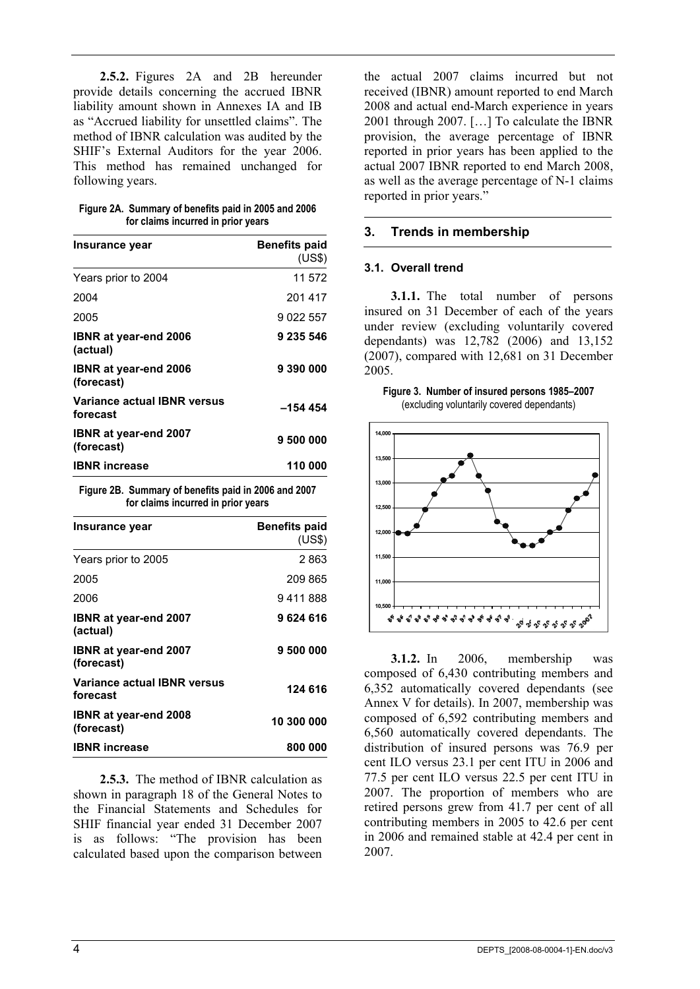**2.5.2.** Figures 2A and 2B hereunder provide details concerning the accrued IBNR liability amount shown in Annexes IA and IB as "Accrued liability for unsettled claims". The method of IBNR calculation was audited by the SHIF's External Auditors for the year 2006. This method has remained unchanged for following years.

| Figure 2A. Summary of benefits paid in 2005 and 2006 |
|------------------------------------------------------|
| for claims incurred in prior years                   |

| Insurance year                             | <b>Benefits paid</b><br>(US\$) |
|--------------------------------------------|--------------------------------|
| Years prior to 2004                        | 11 572                         |
| 2004                                       | 201417                         |
| 2005                                       | 9 022 557                      |
| <b>IBNR at year-end 2006</b><br>(actual)   | 9 235 546                      |
| IBNR at year-end 2006<br>(forecast)        | 9 390 000                      |
| Variance actual IBNR versus<br>forecast    | -154 454                       |
| <b>IBNR at year-end 2007</b><br>(forecast) | 9 500 000                      |
| <b>IBNR</b> increase                       | 110 000                        |

**Figure 2B. Summary of benefits paid in 2006 and 2007 for claims incurred in prior years** 

| Insurance year                                 | <b>Benefits paid</b><br>(US\$) |
|------------------------------------------------|--------------------------------|
| Years prior to 2005                            | 2 863                          |
| 2005                                           | 209865                         |
| 2006                                           | 9 411 888                      |
| IBNR at year-end 2007<br>(actual)              | 9624616                        |
| IBNR at year-end 2007<br>(forecast)            | 9 500 000                      |
| <b>Variance actual IBNR versus</b><br>forecast | 124 616                        |
| <b>IBNR at year-end 2008</b><br>(forecast)     | 10 300 000                     |
| <b>IBNR</b> increase                           | 800 000                        |

**2.5.3.** The method of IBNR calculation as shown in paragraph 18 of the General Notes to the Financial Statements and Schedules for SHIF financial year ended 31 December 2007 is as follows: "The provision has been calculated based upon the comparison between the actual 2007 claims incurred but not received (IBNR) amount reported to end March 2008 and actual end-March experience in years 2001 through 2007. […] To calculate the IBNR provision, the average percentage of IBNR reported in prior years has been applied to the actual 2007 IBNR reported to end March 2008, as well as the average percentage of N-1 claims reported in prior years."

#### **3. Trends in membership**

#### **3.1. Overall trend**

**3.1.1.** The total number of persons insured on 31 December of each of the years under review (excluding voluntarily covered dependants) was 12,782 (2006) and 13,152 (2007), compared with 12,681 on 31 December 2005.





**3.1.2.** In 2006, membership was composed of 6,430 contributing members and 6,352 automatically covered dependants (see Annex V for details). In 2007, membership was composed of 6,592 contributing members and 6,560 automatically covered dependants. The distribution of insured persons was 76.9 per cent ILO versus 23.1 per cent ITU in 2006 and 77.5 per cent ILO versus 22.5 per cent ITU in 2007. The proportion of members who are retired persons grew from 41.7 per cent of all contributing members in 2005 to 42.6 per cent in 2006 and remained stable at 42.4 per cent in 2007.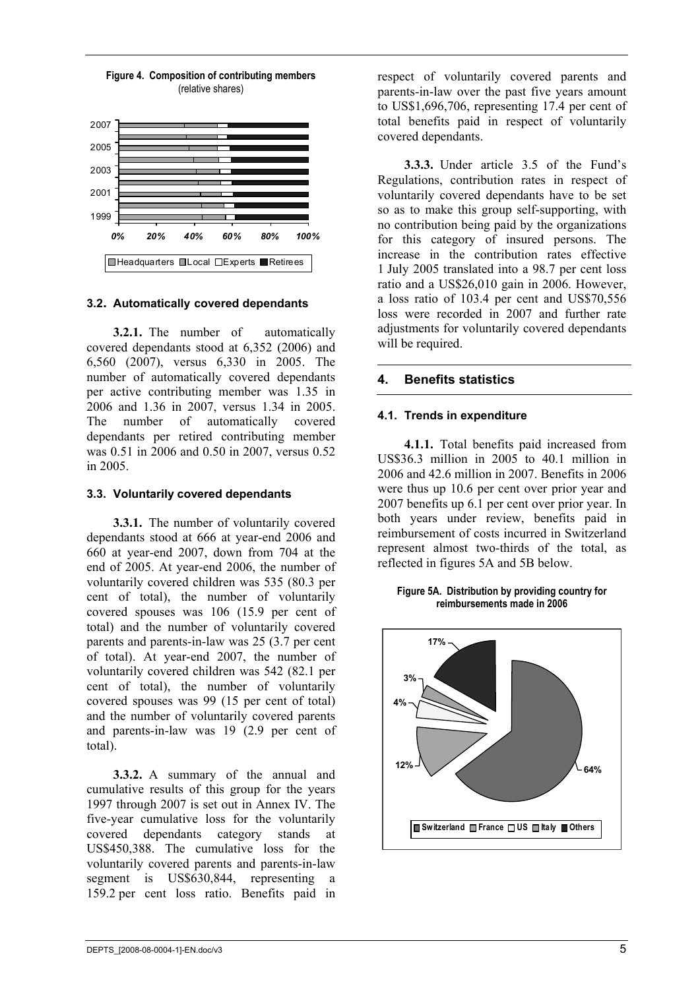

#### **Figure 4. Composition of contributing members** (relative shares)

#### **3.2. Automatically covered dependants**

**3.2.1.** The number of automatically covered dependants stood at 6,352 (2006) and 6,560 (2007), versus 6,330 in 2005. The number of automatically covered dependants per active contributing member was 1.35 in 2006 and 1.36 in 2007, versus 1.34 in 2005. The number of automatically covered dependants per retired contributing member was 0.51 in 2006 and 0.50 in 2007, versus 0.52 in 2005.

#### **3.3. Voluntarily covered dependants**

**3.3.1.** The number of voluntarily covered dependants stood at 666 at year-end 2006 and 660 at year-end 2007, down from 704 at the end of 2005. At year-end 2006, the number of voluntarily covered children was 535 (80.3 per cent of total), the number of voluntarily covered spouses was 106 (15.9 per cent of total) and the number of voluntarily covered parents and parents-in-law was 25 (3.7 per cent of total). At year-end 2007, the number of voluntarily covered children was 542 (82.1 per cent of total), the number of voluntarily covered spouses was 99 (15 per cent of total) and the number of voluntarily covered parents and parents-in-law was 19 (2.9 per cent of total).

**3.3.2.** A summary of the annual and cumulative results of this group for the years 1997 through 2007 is set out in Annex IV. The five-year cumulative loss for the voluntarily covered dependants category stands US\$450,388. The cumulative loss for the voluntarily covered parents and parents-in-law segment is US\$630,844, representing a 159.2 per cent loss ratio. Benefits paid in

respect of voluntarily covered parents and parents-in-law over the past five years amount to US\$1,696,706, representing 17.4 per cent of total benefits paid in respect of voluntarily covered dependants.

**3.3.3.** Under article 3.5 of the Fund's Regulations, contribution rates in respect of voluntarily covered dependants have to be set so as to make this group self-supporting, with no contribution being paid by the organizations for this category of insured persons. The increase in the contribution rates effective 1 July 2005 translated into a 98.7 per cent loss ratio and a US\$26,010 gain in 2006. However, a loss ratio of 103.4 per cent and US\$70,556 loss were recorded in 2007 and further rate adjustments for voluntarily covered dependants will be required.

#### **4. Benefits statistics**

#### **4.1. Trends in expenditure**

**4.1.1.** Total benefits paid increased from US\$36.3 million in 2005 to 40.1 million in 2006 and 42.6 million in 2007. Benefits in 2006 were thus up 10.6 per cent over prior year and 2007 benefits up 6.1 per cent over prior year. In both years under review, benefits paid in reimbursement of costs incurred in Switzerland represent almost two-thirds of the total, as reflected in figures 5A and 5B below.

**Figure 5A. Distribution by providing country for reimbursements made in 2006** 

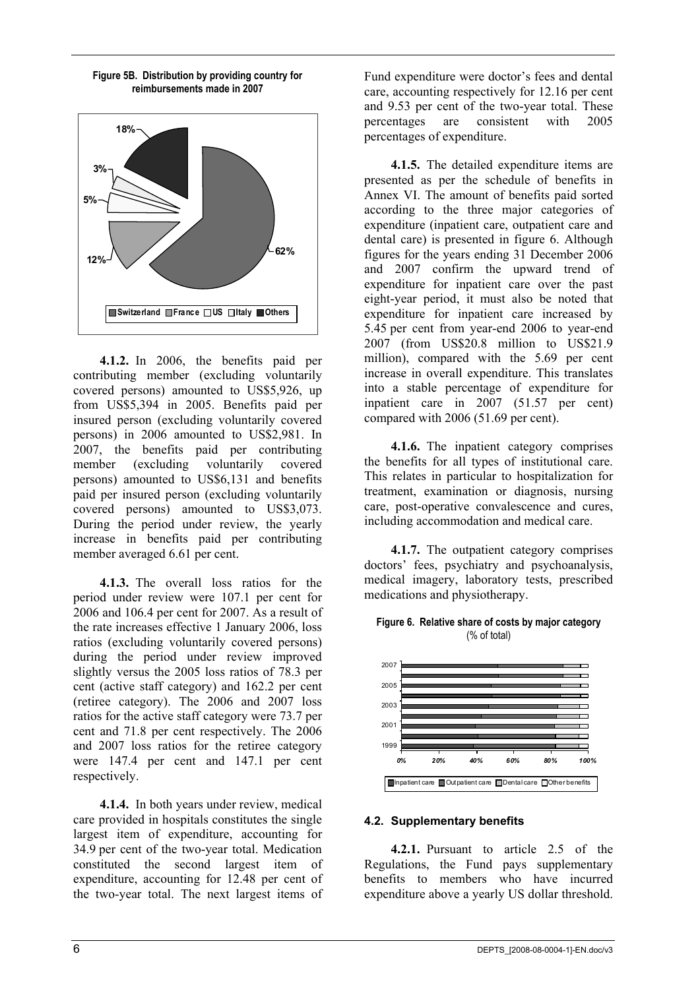

**Figure 5B. Distribution by providing country for reimbursements made in 2007** 

**4.1.2.** In 2006, the benefits paid per contributing member (excluding voluntarily covered persons) amounted to US\$5,926, up from US\$5,394 in 2005. Benefits paid per insured person (excluding voluntarily covered persons) in 2006 amounted to US\$2,981. In 2007, the benefits paid per contributing member (excluding voluntarily covered persons) amounted to US\$6,131 and benefits paid per insured person (excluding voluntarily covered persons) amounted to US\$3,073. During the period under review, the yearly increase in benefits paid per contributing member averaged 6.61 per cent.

**4.1.3.** The overall loss ratios for the period under review were 107.1 per cent for 2006 and 106.4 per cent for 2007. As a result of the rate increases effective 1 January 2006, loss ratios (excluding voluntarily covered persons) during the period under review improved slightly versus the 2005 loss ratios of 78.3 per cent (active staff category) and 162.2 per cent (retiree category). The 2006 and 2007 loss ratios for the active staff category were 73.7 per cent and 71.8 per cent respectively. The 2006 and 2007 loss ratios for the retiree category were 147.4 per cent and 147.1 per cent respectively.

**4.1.4.** In both years under review, medical care provided in hospitals constitutes the single largest item of expenditure, accounting for 34.9 per cent of the two-year total. Medication constituted the second largest item of expenditure, accounting for 12.48 per cent of the two-year total. The next largest items of

Fund expenditure were doctor's fees and dental care, accounting respectively for 12.16 per cent and 9.53 per cent of the two-year total. These percentages are consistent with 2005 percentages of expenditure.

**4.1.5.** The detailed expenditure items are presented as per the schedule of benefits in Annex VI. The amount of benefits paid sorted according to the three major categories of expenditure (inpatient care, outpatient care and dental care) is presented in figure 6. Although figures for the years ending 31 December 2006 and 2007 confirm the upward trend of expenditure for inpatient care over the past eight-year period, it must also be noted that expenditure for inpatient care increased by 5.45 per cent from year-end 2006 to year-end 2007 (from US\$20.8 million to US\$21.9 million), compared with the 5.69 per cent increase in overall expenditure. This translates into a stable percentage of expenditure for inpatient care in 2007 (51.57 per cent) compared with 2006 (51.69 per cent).

**4.1.6.** The inpatient category comprises the benefits for all types of institutional care. This relates in particular to hospitalization for treatment, examination or diagnosis, nursing care, post-operative convalescence and cures, including accommodation and medical care.

**4.1.7.** The outpatient category comprises doctors' fees, psychiatry and psychoanalysis, medical imagery, laboratory tests, prescribed medications and physiotherapy.





#### **4.2. Supplementary benefits**

**4.2.1.** Pursuant to article 2.5 of the Regulations, the Fund pays supplementary benefits to members who have incurred expenditure above a yearly US dollar threshold.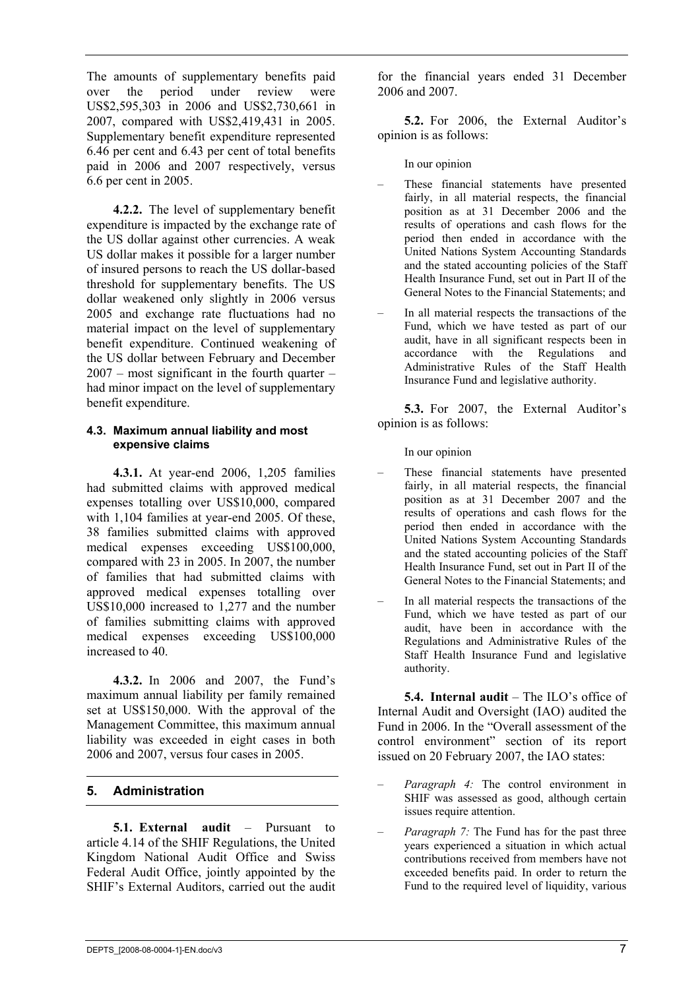The amounts of supplementary benefits paid over the period under review were US\$2,595,303 in 2006 and US\$2,730,661 in 2007, compared with US\$2,419,431 in 2005. Supplementary benefit expenditure represented 6.46 per cent and 6.43 per cent of total benefits paid in 2006 and 2007 respectively, versus 6.6 per cent in 2005.

**4.2.2.** The level of supplementary benefit expenditure is impacted by the exchange rate of the US dollar against other currencies. A weak US dollar makes it possible for a larger number of insured persons to reach the US dollar-based threshold for supplementary benefits. The US dollar weakened only slightly in 2006 versus 2005 and exchange rate fluctuations had no material impact on the level of supplementary benefit expenditure. Continued weakening of the US dollar between February and December 2007 – most significant in the fourth quarter – had minor impact on the level of supplementary benefit expenditure.

#### **4.3. Maximum annual liability and most expensive claims**

**4.3.1.** At year-end 2006, 1,205 families had submitted claims with approved medical expenses totalling over US\$10,000, compared with 1,104 families at year-end 2005. Of these, 38 families submitted claims with approved medical expenses exceeding US\$100,000, compared with 23 in 2005. In 2007, the number of families that had submitted claims with approved medical expenses totalling over US\$10,000 increased to 1,277 and the number of families submitting claims with approved medical expenses exceeding US\$100,000 increased to 40.

**4.3.2.** In 2006 and 2007, the Fund's maximum annual liability per family remained set at US\$150,000. With the approval of the Management Committee, this maximum annual liability was exceeded in eight cases in both 2006 and 2007, versus four cases in 2005.

#### **5. Administration**

**5.1. External audit** – Pursuant to article 4.14 of the SHIF Regulations, the United Kingdom National Audit Office and Swiss Federal Audit Office, jointly appointed by the SHIF's External Auditors, carried out the audit

for the financial years ended 31 December 2006 and 2007.

**5.2.** For 2006, the External Auditor's opinion is as follows:

In our opinion

- These financial statements have presented fairly, in all material respects, the financial position as at 31 December 2006 and the results of operations and cash flows for the period then ended in accordance with the United Nations System Accounting Standards and the stated accounting policies of the Staff Health Insurance Fund, set out in Part II of the General Notes to the Financial Statements; and
- In all material respects the transactions of the Fund, which we have tested as part of our audit, have in all significant respects been in accordance with the Regulations and Administrative Rules of the Staff Health Insurance Fund and legislative authority.

**5.3.** For 2007, the External Auditor's opinion is as follows:

In our opinion

- These financial statements have presented fairly, in all material respects, the financial position as at 31 December 2007 and the results of operations and cash flows for the period then ended in accordance with the United Nations System Accounting Standards and the stated accounting policies of the Staff Health Insurance Fund, set out in Part II of the General Notes to the Financial Statements; and
- In all material respects the transactions of the Fund, which we have tested as part of our audit, have been in accordance with the Regulations and Administrative Rules of the Staff Health Insurance Fund and legislative authority.

**5.4. Internal audit** – The ILO's office of Internal Audit and Oversight (IAO) audited the Fund in 2006. In the "Overall assessment of the control environment" section of its report issued on 20 February 2007, the IAO states:

- *Paragraph 4:* The control environment in SHIF was assessed as good, although certain issues require attention.
- *Paragraph 7:* The Fund has for the past three years experienced a situation in which actual contributions received from members have not exceeded benefits paid. In order to return the Fund to the required level of liquidity, various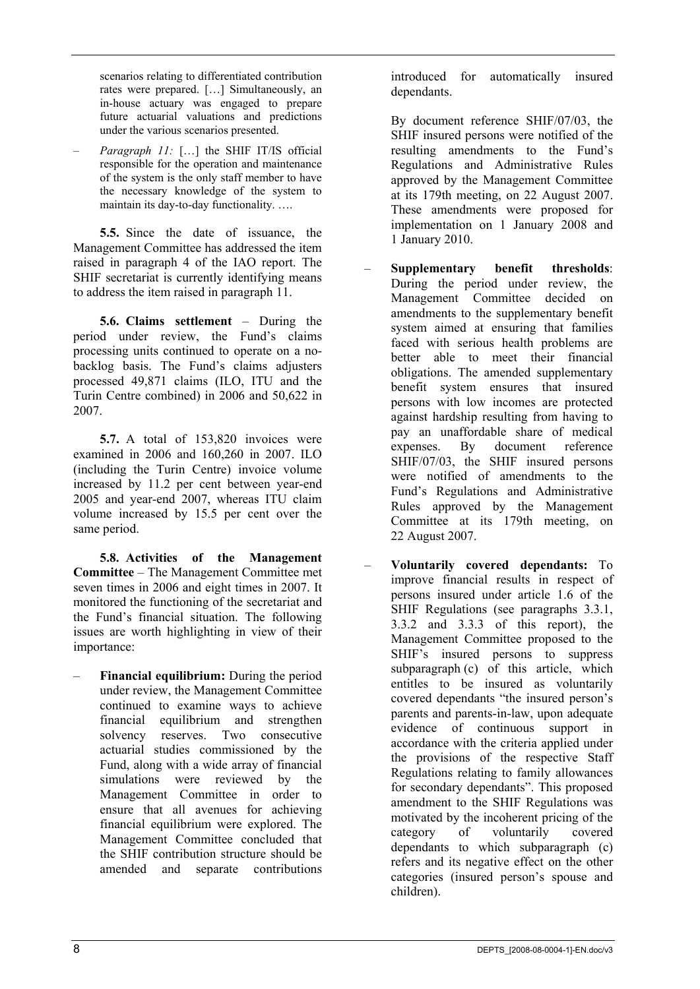scenarios relating to differentiated contribution rates were prepared. […] Simultaneously, an in-house actuary was engaged to prepare future actuarial valuations and predictions under the various scenarios presented.

– *Paragraph 11:* […] the SHIF IT/IS official responsible for the operation and maintenance of the system is the only staff member to have the necessary knowledge of the system to maintain its day-to-day functionality. ….

**5.5.** Since the date of issuance, the Management Committee has addressed the item raised in paragraph 4 of the IAO report. The SHIF secretariat is currently identifying means to address the item raised in paragraph 11.

**5.6. Claims settlement** – During the period under review, the Fund's claims processing units continued to operate on a nobacklog basis. The Fund's claims adjusters processed 49,871 claims (ILO, ITU and the Turin Centre combined) in 2006 and 50,622 in 2007.

**5.7.** A total of 153,820 invoices were examined in 2006 and 160,260 in 2007. ILO (including the Turin Centre) invoice volume increased by 11.2 per cent between year-end 2005 and year-end 2007, whereas ITU claim volume increased by 15.5 per cent over the same period.

**5.8. Activities of the Management Committee** – The Management Committee met seven times in 2006 and eight times in 2007. It monitored the functioning of the secretariat and the Fund's financial situation. The following issues are worth highlighting in view of their importance:

– **Financial equilibrium:** During the period under review, the Management Committee continued to examine ways to achieve financial equilibrium and strengthen solvency reserves. Two consecutive actuarial studies commissioned by the Fund, along with a wide array of financial simulations were reviewed by the Management Committee in order to ensure that all avenues for achieving financial equilibrium were explored. The Management Committee concluded that the SHIF contribution structure should be amended and separate contributions

introduced for automatically insured dependants.

 By document reference SHIF/07/03, the SHIF insured persons were notified of the resulting amendments to the Fund's Regulations and Administrative Rules approved by the Management Committee at its 179th meeting, on 22 August 2007. These amendments were proposed for implementation on 1 January 2008 and 1 January 2010.

- **Supplementary benefit thresholds**: During the period under review, the Management Committee decided on amendments to the supplementary benefit system aimed at ensuring that families faced with serious health problems are better able to meet their financial obligations. The amended supplementary benefit system ensures that insured persons with low incomes are protected against hardship resulting from having to pay an unaffordable share of medical expenses. By document reference SHIF/07/03, the SHIF insured persons were notified of amendments to the Fund's Regulations and Administrative Rules approved by the Management Committee at its 179th meeting, on 22 August 2007.
- **Voluntarily covered dependants:** To improve financial results in respect of persons insured under article 1.6 of the SHIF Regulations (see paragraphs 3.3.1, 3.3.2 and 3.3.3 of this report), the Management Committee proposed to the SHIF's insured persons to suppress subparagraph (c) of this article, which entitles to be insured as voluntarily covered dependants "the insured person's parents and parents-in-law, upon adequate evidence of continuous support in accordance with the criteria applied under the provisions of the respective Staff Regulations relating to family allowances for secondary dependants". This proposed amendment to the SHIF Regulations was motivated by the incoherent pricing of the category of voluntarily covered dependants to which subparagraph (c) refers and its negative effect on the other categories (insured person's spouse and children).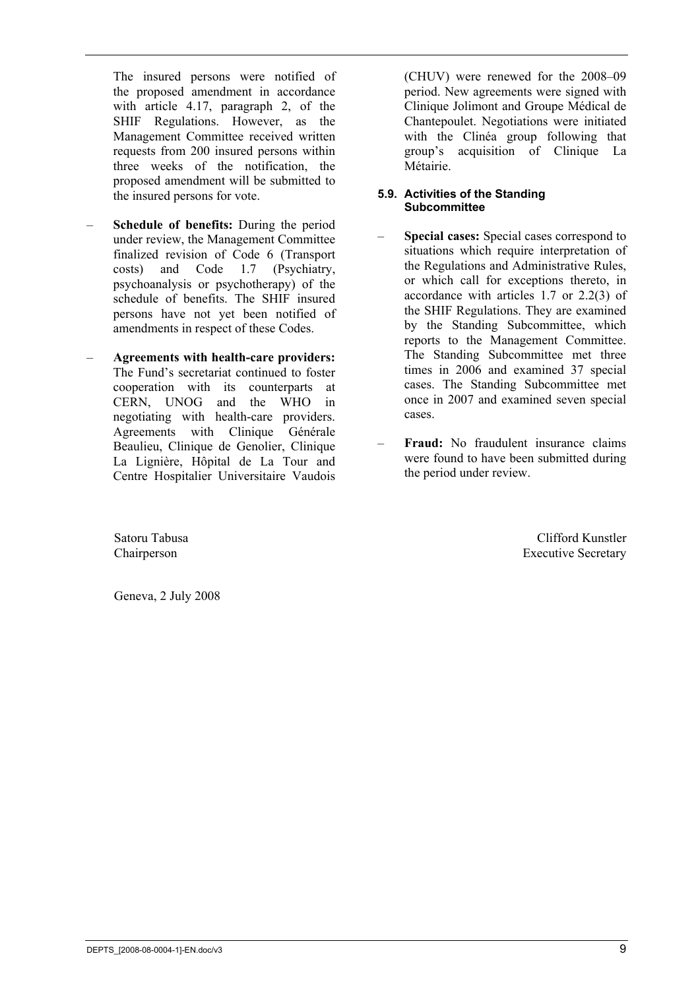The insured persons were notified of the proposed amendment in accordance with article 4.17, paragraph 2, of the SHIF Regulations. However, as the Management Committee received written requests from 200 insured persons within three weeks of the notification, the proposed amendment will be submitted to the insured persons for vote.

- **Schedule of benefits:** During the period under review, the Management Committee finalized revision of Code 6 (Transport costs) and Code 1.7 (Psychiatry, psychoanalysis or psychotherapy) of the schedule of benefits. The SHIF insured persons have not yet been notified of amendments in respect of these Codes.
- **Agreements with health-care providers:** The Fund's secretariat continued to foster cooperation with its counterparts at CERN, UNOG and the WHO in negotiating with health-care providers. Agreements with Clinique Générale Beaulieu, Clinique de Genolier, Clinique La Lignière, Hôpital de La Tour and Centre Hospitalier Universitaire Vaudois

(CHUV) were renewed for the 2008–09 period. New agreements were signed with Clinique Jolimont and Groupe Médical de Chantepoulet. Negotiations were initiated with the Clinéa group following that group's acquisition of Clinique La Métairie.

#### **5.9. Activities of the Standing Subcommittee**

- **Special cases:** Special cases correspond to situations which require interpretation of the Regulations and Administrative Rules, or which call for exceptions thereto, in accordance with articles 1.7 or 2.2(3) of the SHIF Regulations. They are examined by the Standing Subcommittee, which reports to the Management Committee. The Standing Subcommittee met three times in 2006 and examined 37 special cases. The Standing Subcommittee met once in 2007 and examined seven special cases.
- **Fraud:** No fraudulent insurance claims were found to have been submitted during the period under review.

Satoru Tabusa Chairperson

Clifford Kunstler Executive Secretary

Geneva, 2 July 2008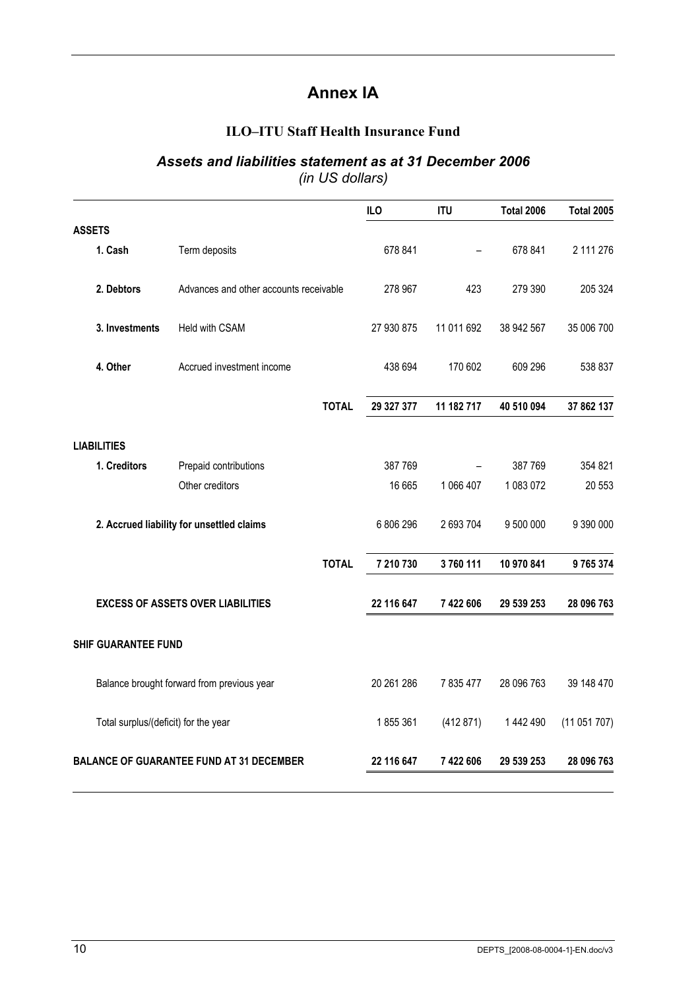# **Annex IA**

### **ILO–ITU Staff Health Insurance Fund**

# *Assets and liabilities statement as at 31 December 2006*

*(in US dollars)* 

|                                                                                           |                                                                                                                                                                                                                                                              | ILO                                    | <b>ITU</b> | <b>Total 2006</b> | <b>Total 2005</b>                   |
|-------------------------------------------------------------------------------------------|--------------------------------------------------------------------------------------------------------------------------------------------------------------------------------------------------------------------------------------------------------------|----------------------------------------|------------|-------------------|-------------------------------------|
|                                                                                           |                                                                                                                                                                                                                                                              |                                        |            |                   |                                     |
| Term deposits                                                                             |                                                                                                                                                                                                                                                              | 678 841                                |            | 678 841           | 2 111 276                           |
|                                                                                           |                                                                                                                                                                                                                                                              | 278 967                                | 423        | 279 390           | 205 324                             |
| Held with CSAM                                                                            |                                                                                                                                                                                                                                                              | 27 930 875                             | 11 011 692 | 38 942 567        | 35 006 700                          |
| Accrued investment income                                                                 |                                                                                                                                                                                                                                                              | 438 694                                | 170 602    | 609 296           | 538 837                             |
|                                                                                           | <b>TOTAL</b>                                                                                                                                                                                                                                                 | 29 327 377                             | 11 182 717 | 40 510 094        | 37 862 137                          |
|                                                                                           |                                                                                                                                                                                                                                                              |                                        |            |                   |                                     |
| Prepaid contributions                                                                     |                                                                                                                                                                                                                                                              | 387 769                                |            | 387769            | 354 821                             |
| Other creditors                                                                           |                                                                                                                                                                                                                                                              | 16 665                                 | 1 066 407  | 1 083 072         | 20 553                              |
|                                                                                           |                                                                                                                                                                                                                                                              | 6 806 296                              | 2 693 704  | 9 500 000         | 9 390 000                           |
|                                                                                           | <b>TOTAL</b>                                                                                                                                                                                                                                                 | 7 210 730                              | 3760111    | 10 970 841        | 9765374                             |
|                                                                                           |                                                                                                                                                                                                                                                              | 22 116 647                             | 7 422 606  | 29 539 253        | 28 096 763                          |
|                                                                                           |                                                                                                                                                                                                                                                              |                                        |            |                   |                                     |
|                                                                                           |                                                                                                                                                                                                                                                              | 20 261 286                             | 7 835 477  | 28 096 763        | 39 148 470                          |
|                                                                                           |                                                                                                                                                                                                                                                              | 1855361                                | (412 871)  | 1 442 490         | (11051707)                          |
|                                                                                           |                                                                                                                                                                                                                                                              |                                        |            |                   | 28 096 763                          |
| 1. Cash<br>2. Debtors<br>3. Investments<br>4. Other<br><b>LIABILITIES</b><br>1. Creditors | 2. Accrued liability for unsettled claims<br><b>EXCESS OF ASSETS OVER LIABILITIES</b><br><b>SHIF GUARANTEE FUND</b><br>Balance brought forward from previous year<br>Total surplus/(deficit) for the year<br><b>BALANCE OF GUARANTEE FUND AT 31 DECEMBER</b> | Advances and other accounts receivable |            |                   | 22 116 647<br>7422606<br>29 539 253 |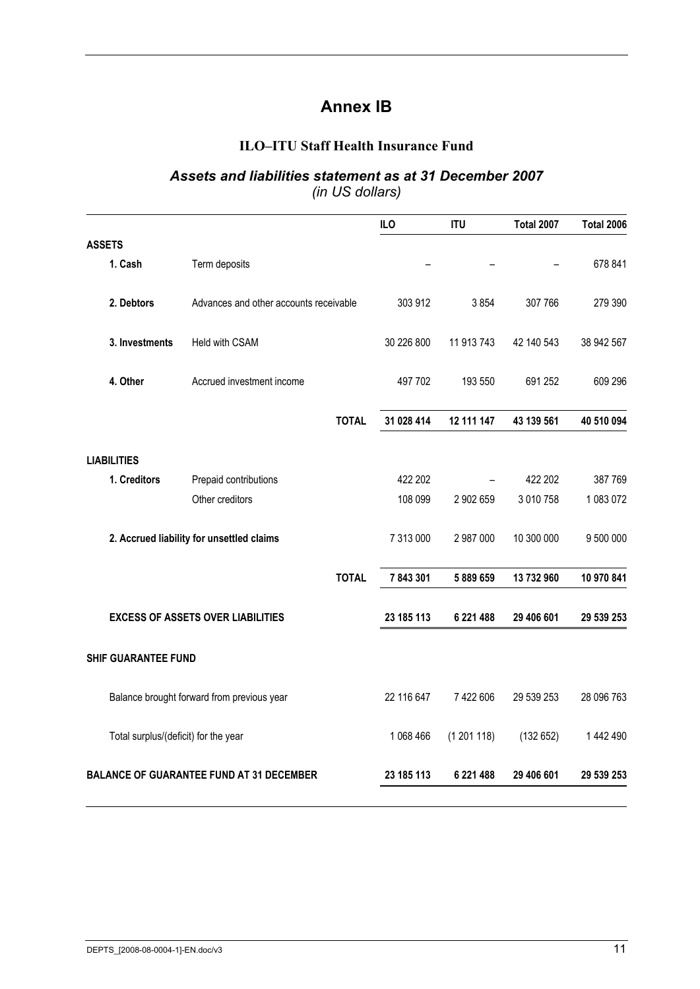# **Annex IB**

#### **ILO–ITU Staff Health Insurance Fund**

#### *Assets and liabilities statement as at 31 December 2007 (in US dollars)*

|                                      |                                                 |              | ILO        | <b>ITU</b> | <b>Total 2007</b> | <b>Total 2006</b> |
|--------------------------------------|-------------------------------------------------|--------------|------------|------------|-------------------|-------------------|
| <b>ASSETS</b>                        |                                                 |              |            |            |                   |                   |
| 1. Cash                              | Term deposits                                   |              |            |            |                   | 678 841           |
| 2. Debtors                           | Advances and other accounts receivable          |              | 303 912    | 3854       | 307 766           | 279 390           |
| 3. Investments                       | Held with CSAM                                  |              | 30 226 800 | 11 913 743 | 42 140 543        | 38 942 567        |
| 4. Other                             | Accrued investment income                       |              | 497 702    | 193 550    | 691 252           | 609 296           |
|                                      |                                                 | <b>TOTAL</b> | 31 028 414 | 12 111 147 | 43 139 561        | 40 510 094        |
| <b>LIABILITIES</b>                   |                                                 |              |            |            |                   |                   |
| 1. Creditors                         | Prepaid contributions                           |              | 422 202    |            | 422 202           | 387 769           |
|                                      | Other creditors                                 |              | 108 099    | 2 902 659  | 3 010 758         | 1 083 072         |
|                                      | 2. Accrued liability for unsettled claims       |              | 7 313 000  | 2 987 000  | 10 300 000        | 9 500 000         |
|                                      |                                                 | <b>TOTAL</b> | 7843301    | 5889659    | 13 732 960        | 10 970 841        |
|                                      | <b>EXCESS OF ASSETS OVER LIABILITIES</b>        |              | 23 185 113 | 6 221 488  | 29 406 601        | 29 539 253        |
| <b>SHIF GUARANTEE FUND</b>           |                                                 |              |            |            |                   |                   |
|                                      | Balance brought forward from previous year      |              | 22 116 647 | 7 422 606  | 29 539 253        | 28 096 763        |
| Total surplus/(deficit) for the year |                                                 |              | 1 068 466  | (1201118)  | (132652)          | 1 442 490         |
|                                      | <b>BALANCE OF GUARANTEE FUND AT 31 DECEMBER</b> |              | 23 185 113 | 6 221 488  | 29 406 601        | 29 539 253        |
|                                      |                                                 |              |            |            |                   |                   |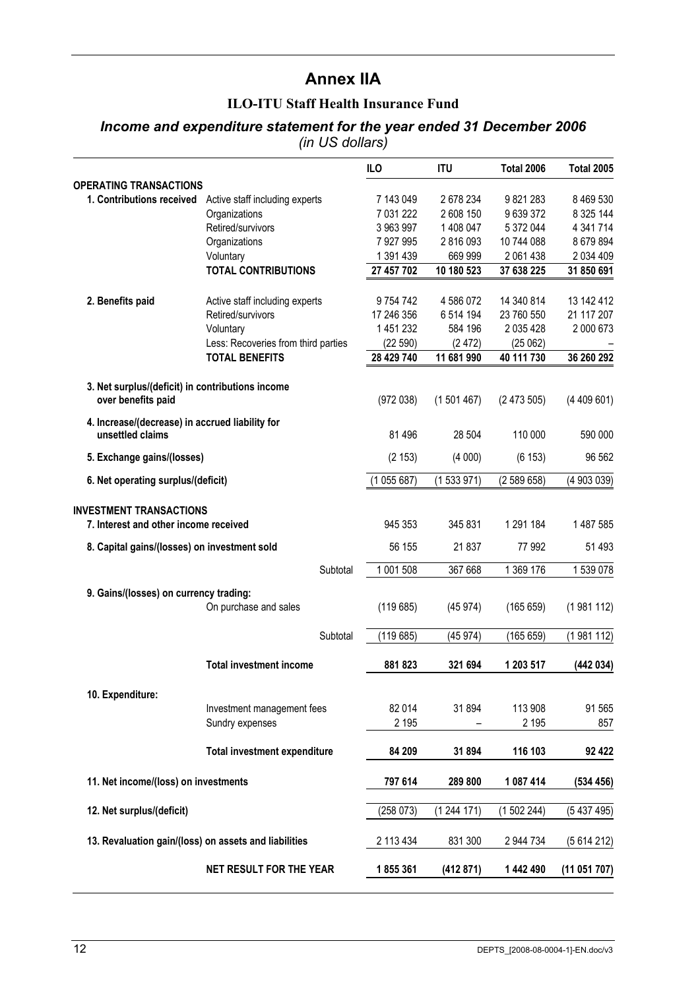## **Annex IIA**

#### **ILO-ITU Staff Health Insurance Fund**

#### *Income and expenditure statement for the year ended 31 December 2006 (in US dollars)*

|                                                                     |                                                          | ILO           | <b>ITU</b> | <b>Total 2006</b> | <b>Total 2005</b> |
|---------------------------------------------------------------------|----------------------------------------------------------|---------------|------------|-------------------|-------------------|
| <b>OPERATING TRANSACTIONS</b>                                       |                                                          |               |            |                   |                   |
|                                                                     | 1. Contributions received Active staff including experts | 7 143 049     | 2678234    | 9821283           | 8 4 69 5 30       |
|                                                                     | Organizations                                            | 7 031 222     | 2 608 150  | 9639372           | 8 325 144         |
|                                                                     | Retired/survivors                                        | 3 963 997     | 1 408 047  | 5 372 044         | 4 341 714         |
|                                                                     | Organizations                                            | 7 927 995     | 2816093    | 10 744 088        | 8679894           |
|                                                                     | Voluntary                                                | 1 391 439     | 669 999    | 2 061 438         | 2 034 409         |
|                                                                     | <b>TOTAL CONTRIBUTIONS</b>                               | 27 457 702    | 10 180 523 | 37 638 225        | 31 850 691        |
| 2. Benefits paid                                                    | Active staff including experts                           | 9 7 5 4 7 4 2 | 4 586 072  | 14 340 814        | 13 142 412        |
|                                                                     | Retired/survivors                                        | 17 246 356    | 6 514 194  | 23 760 550        | 21 117 207        |
|                                                                     | Voluntary                                                | 1 451 232     | 584 196    | 2 035 428         | 2 000 673         |
|                                                                     | Less: Recoveries from third parties                      | (22590)       | (2472)     | (25062)           |                   |
|                                                                     | <b>TOTAL BENEFITS</b>                                    | 28 429 740    | 11 681 990 | 40 111 730        | 36 260 292        |
| 3. Net surplus/(deficit) in contributions income                    |                                                          |               |            |                   |                   |
| over benefits paid                                                  |                                                          | (972038)      | (1501467)  | (2473505)         | (4409601)         |
| 4. Increase/(decrease) in accrued liability for<br>unsettled claims |                                                          | 81 496        | 28 504     | 110 000           | 590 000           |
| 5. Exchange gains/(losses)                                          |                                                          | (2 153)       | (4000)     | (6153)            | 96 562            |
| 6. Net operating surplus/(deficit)                                  |                                                          | (1055687)     | (1533971)  | (2589658)         | (4 903 039)       |
| <b>INVESTMENT TRANSACTIONS</b>                                      |                                                          |               |            |                   |                   |
| 7. Interest and other income received                               |                                                          | 945 353       | 345 831    | 1 291 184         | 1 487 585         |
| 8. Capital gains/(losses) on investment sold                        |                                                          | 56 155        | 21 837     | 77 992            | 51 493            |
|                                                                     | Subtotal                                                 | 1 001 508     | 367 668    | 1 369 176         | 1539078           |
| 9. Gains/(losses) on currency trading:                              |                                                          |               |            |                   |                   |
|                                                                     | On purchase and sales                                    | (119685)      | (45974)    | (165659)          | (1981112)         |
|                                                                     | Subtotal                                                 | (119685)      | (45974)    | (165659)          | (1981112)         |
|                                                                     | <b>Total investment income</b>                           | 881823        | 321 694    | 1 203 517         | (442 034)         |
| 10. Expenditure:                                                    |                                                          |               |            |                   |                   |
|                                                                     | Investment management fees                               | 82 014        | 31894      | 113 908           | 91 565            |
|                                                                     | Sundry expenses                                          | 2 1 9 5       |            | 2 1 9 5           | 857               |
|                                                                     | <b>Total investment expenditure</b>                      | 84 209        | 31 894     | 116 103           | 92 422            |
| 11. Net income/(loss) on investments                                |                                                          | 797 614       | 289 800    | 1 087 414         | (534 456)         |
| 12. Net surplus/(deficit)                                           |                                                          | (258073)      | (1244171)  | (1502244)         | (5437495)         |
| 13. Revaluation gain/(loss) on assets and liabilities               |                                                          | 2 113 434     | 831 300    | 2 944 734         | (5614212)         |
|                                                                     |                                                          |               |            |                   |                   |
|                                                                     | NET RESULT FOR THE YEAR                                  | 1855361       | (412 871)  | 1 442 490         | (11051707)        |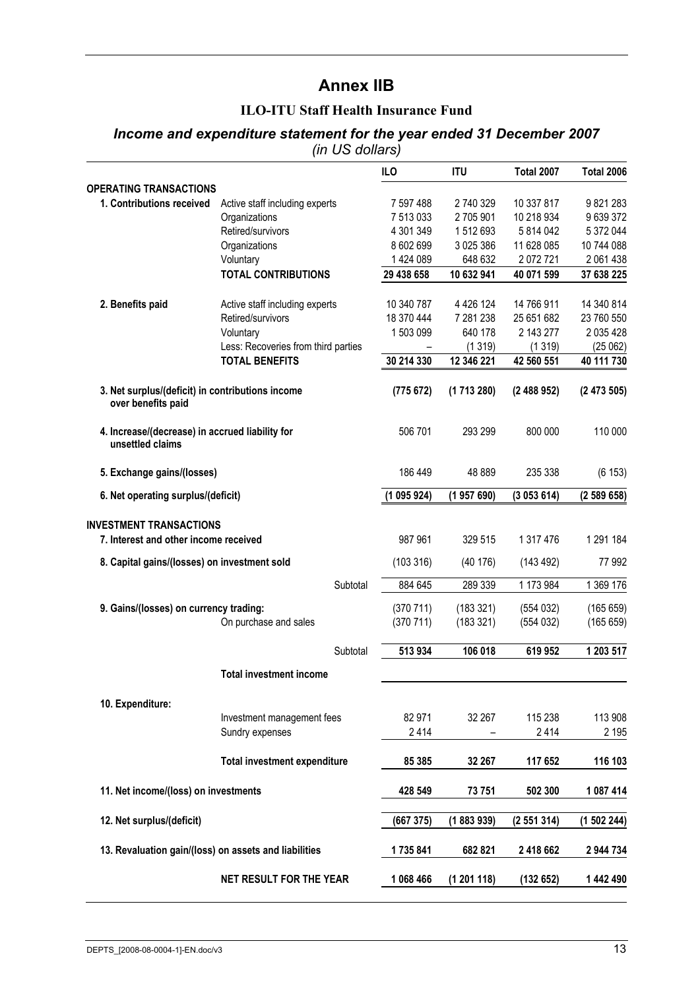# **Annex IIB**

#### **ILO-ITU Staff Health Insurance Fund**

#### *Income and expenditure statement for the year ended 31 December 2007 (in US dollars)*

|                                                                     |                                                     | ILO        | <b>ITU</b>    | <b>Total 2007</b> | <b>Total 2006</b> |
|---------------------------------------------------------------------|-----------------------------------------------------|------------|---------------|-------------------|-------------------|
| <b>OPERATING TRANSACTIONS</b>                                       |                                                     |            |               |                   |                   |
| 1. Contributions received                                           | Active staff including experts                      | 7 597 488  | 2 740 329     | 10 337 817        | 9821283           |
|                                                                     | Organizations                                       | 7 513 033  | 2705901       | 10 218 934        | 9639372           |
|                                                                     | Retired/survivors                                   | 4 301 349  | 1512693       | 5 814 042         | 5 372 044         |
|                                                                     | Organizations                                       | 8 602 699  | 3 0 25 3 86   | 11 628 085        | 10 744 088        |
|                                                                     | Voluntary                                           | 1 424 089  | 648 632       | 2072721           | 2 061 438         |
|                                                                     | <b>TOTAL CONTRIBUTIONS</b>                          | 29 438 658 | 10 632 941    | 40 071 599        | 37 638 225        |
| 2. Benefits paid                                                    |                                                     | 10 340 787 | 4 4 2 6 1 2 4 | 14 766 911        | 14 340 814        |
|                                                                     | Active staff including experts<br>Retired/survivors | 18 370 444 | 7 281 238     | 25 651 682        | 23 760 550        |
|                                                                     | Voluntary                                           | 1 503 099  | 640 178       | 2 143 277         | 2 0 3 5 4 2 8     |
|                                                                     | Less: Recoveries from third parties                 |            | (1319)        | (1319)            | (25062)           |
|                                                                     | <b>TOTAL BENEFITS</b>                               | 30 214 330 | 12 346 221    | 42 560 551        | 40 111 730        |
| 3. Net surplus/(deficit) in contributions income                    |                                                     | (775672)   | (1713280)     | (2488952)         | (2473505)         |
| over benefits paid                                                  |                                                     |            |               |                   |                   |
| 4. Increase/(decrease) in accrued liability for<br>unsettled claims |                                                     | 506 701    | 293 299       | 800 000           | 110 000           |
| 5. Exchange gains/(losses)                                          |                                                     | 186 449    | 48 889        | 235 338           | (6153)            |
| 6. Net operating surplus/(deficit)                                  |                                                     | (1095924)  | (1957690)     | (3053614)         | (2589658)         |
| <b>INVESTMENT TRANSACTIONS</b>                                      |                                                     |            |               |                   |                   |
| 7. Interest and other income received                               |                                                     | 987 961    | 329 515       | 1 317 476         | 1 291 184         |
| 8. Capital gains/(losses) on investment sold                        |                                                     | (103316)   | (40176)       | (143 492)         | 77 992            |
|                                                                     | Subtotal                                            | 884 645    | 289 339       | 1 173 984         | 1 369 176         |
| 9. Gains/(losses) on currency trading:                              |                                                     | (370711)   | (183 321)     | (554032)          | (165659)          |
|                                                                     | On purchase and sales                               | (370 711)  | (183 321)     | (554032)          | (165659)          |
|                                                                     | Subtotal                                            | 513 934    | 106 018       | 619 952           | 1 203 517         |
|                                                                     | <b>Total investment income</b>                      |            |               |                   |                   |
| 10. Expenditure:                                                    |                                                     |            |               |                   |                   |
|                                                                     | Investment management fees                          | 82 971     | 32 267        | 115 238           | 113 908           |
|                                                                     | Sundry expenses                                     | 2414       |               | 2414              | 2 1 9 5           |
|                                                                     |                                                     |            |               |                   |                   |
|                                                                     | <b>Total investment expenditure</b>                 | 85 385     | 32 267        | 117 652           | 116 103           |
| 11. Net income/(loss) on investments                                |                                                     | 428 549    | 73 751        | 502 300           | 1 087 414         |
| 12. Net surplus/(deficit)                                           |                                                     | (667 375)  | (1883939)     | (2551314)         | (1502244)         |
| 13. Revaluation gain/(loss) on assets and liabilities               |                                                     | 1735841    | 682 821       | 2 418 662         | 2944734           |
|                                                                     | NET RESULT FOR THE YEAR                             | 1 068 466  | (1201118)     | (132652)          | 1 442 490         |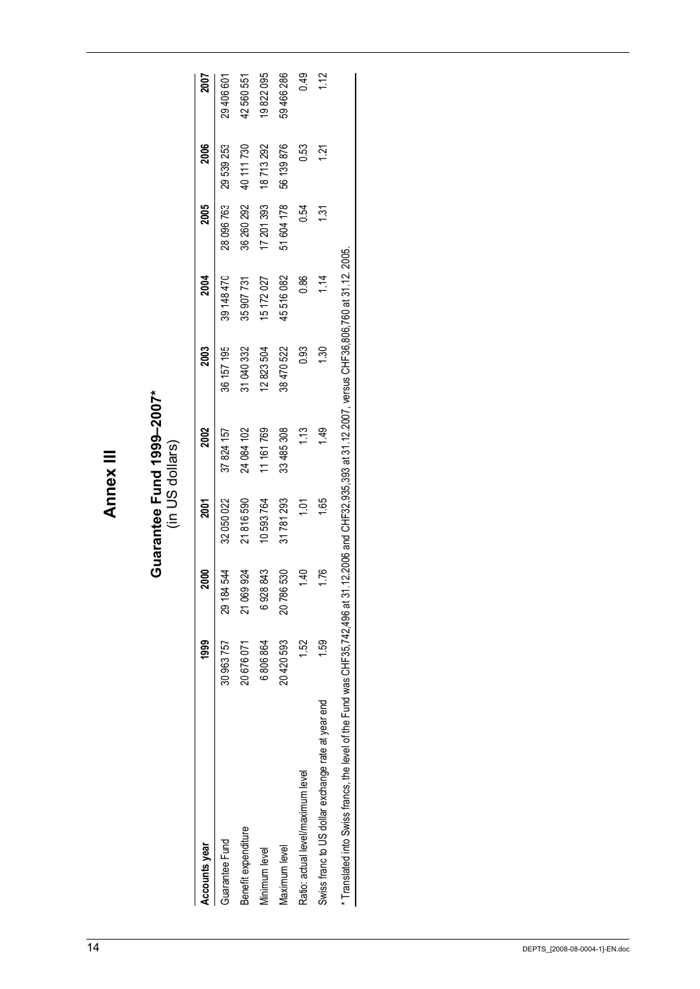Annex III **Annex III** 

# Guarantee Fund 1999–2007\*<br>(in US dollars) **Guarantee Fund 1999–2007\***  (in US dollars)

| Accounts year                                                                                                                                             | <b>1999</b>   | <b>2000</b>        | 2001             | 2002       | 2003       | 2004       | 2005       | 2006       | 2007           |
|-----------------------------------------------------------------------------------------------------------------------------------------------------------|---------------|--------------------|------------------|------------|------------|------------|------------|------------|----------------|
| Guarantee Fund                                                                                                                                            | 30963757      | 84 544<br>ಗ<br>೧೯೭ | 32 050 022       | 37 824 157 | 36 157 195 | 39 148 470 | 28 096 763 | 29539253   | 29 406 601     |
| Benefit expenditure                                                                                                                                       | 20676071      | 21069924           | 21816590         | 24 084 102 | 31040332   | 35 907 731 | 36 260 292 | 40 111 730 | 42560551       |
| Ainimum level                                                                                                                                             | 6 806 864     | 6928843            | 10 593 764       | 11 161 769 | 12823504   | 15 172 027 | 17 201 393 | 18713292   | 19822095       |
| Vlaximum level                                                                                                                                            | 20420593      | 20786530           | 31781293         | 33 485 308 | 38 470 522 | 45516082   | 51 604 178 | 56 139 876 | 59 466 286     |
| Ratio: actual level/maximum level                                                                                                                         | 52            | 1.40               | $\overline{101}$ | 1.13       | ີ່ວິ       | 0.86       | 0.54       | <b>CSO</b> | 0.49           |
| Swiss franc to US dollar exchange rate at year end                                                                                                        | $\frac{5}{3}$ | 1.76               | 1.65             | 149        | 1.30       | 114        | 131        | 121        | $\frac{12}{1}$ |
| * Translated into Swiss francs, the level of the Fund was CHF35,742,496 at 31.12.2006 and CHF32,935,393 at 31.12.2007, versus CHF36,806,760 at 31.12.2005 |               |                    |                  |            |            |            |            |            |                |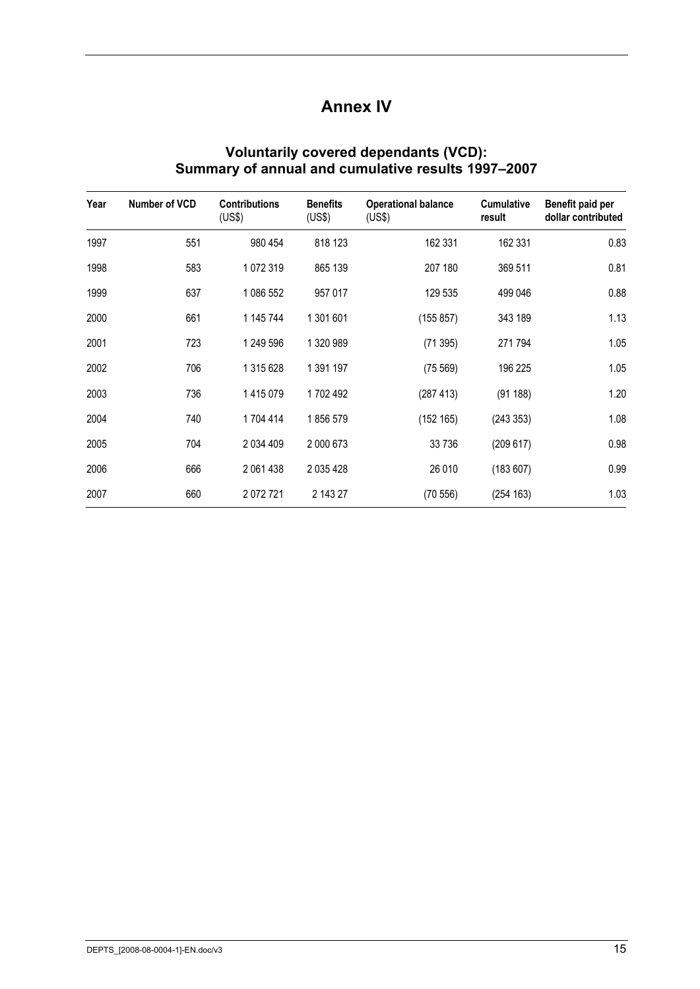# **Annex IV**

| Year | Number of VCD | <b>Contributions</b><br>(US\$) | <b>Benefits</b><br>(US\$) | <b>Operational balance</b><br>(US\$) | <b>Cumulative</b><br>result | Benefit paid per<br>dollar contributed |
|------|---------------|--------------------------------|---------------------------|--------------------------------------|-----------------------------|----------------------------------------|
| 1997 | 551           | 980 454                        | 818 123                   | 162 331                              | 162 331                     | 0.83                                   |
| 1998 | 583           | 1072319                        | 865 139                   | 207 180                              | 369 511                     | 0.81                                   |
| 1999 | 637           | 1 086 552                      | 957 017                   | 129 535                              | 499 046                     | 0.88                                   |
| 2000 | 661           | 1 145 744                      | 1 301 601                 | (155 857)                            | 343 189                     | 1.13                                   |
| 2001 | 723           | 1 249 596                      | 1 320 989                 | (71395)                              | 271 794                     | 1.05                                   |
| 2002 | 706           | 1 315 628                      | 1 391 197                 | (75 569)                             | 196 225                     | 1.05                                   |
| 2003 | 736           | 1415079                        | 1702 492                  | (287 413)                            | (91188)                     | 1.20                                   |
| 2004 | 740           | 1704 414                       | 1856579                   | (152 165)                            | (243353)                    | 1.08                                   |
| 2005 | 704           | 2 034 409                      | 2 000 673                 | 33 736                               | (209617)                    | 0.98                                   |
| 2006 | 666           | 2 061 438                      | 2 035 428                 | 26 010                               | (183607)                    | 0.99                                   |
| 2007 | 660           | 2072721                        | 2 143 27                  | (70556)                              | (254 163)                   | 1.03                                   |

#### **Voluntarily covered dependants (VCD): Summary of annual and cumulative results 1997–2007**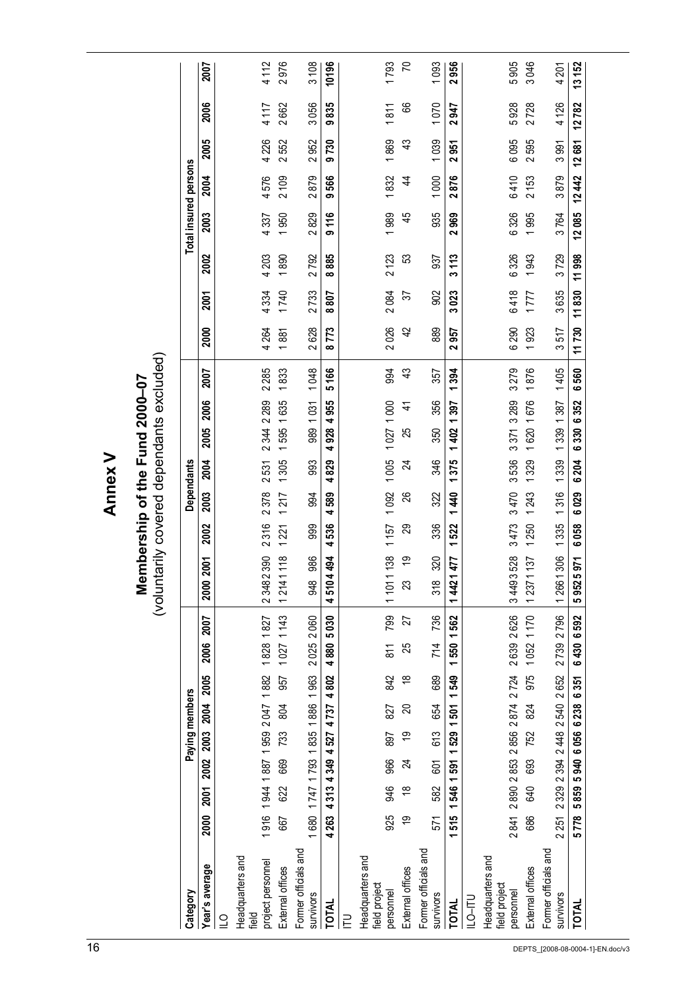**Annex V Annex V**

# Membership of the Fund 2000-07<br>(voluntarily covered dependants excluded) (voluntarily covered dependants excluded) **Membership of the Fund 2000–07**

| Category                                |                                     |               |           | Paying members      |      |     |                                         |       |                                |                       | Dependants                      |                       |                         |               |                 |                        |          | Total insured persons |                             |                             |                                |                             |
|-----------------------------------------|-------------------------------------|---------------|-----------|---------------------|------|-----|-----------------------------------------|-------|--------------------------------|-----------------------|---------------------------------|-----------------------|-------------------------|---------------|-----------------|------------------------|----------|-----------------------|-----------------------------|-----------------------------|--------------------------------|-----------------------------|
| Year's average                          | 2000                                | 2001          | 2002 2003 | 2004                | 2005 |     | 2007<br>2006                            | 2000  | 2001                           | 2003<br>2002          |                                 | 2005<br><b>2004</b>   | 2006                    | 2007          | 2000            | 2001                   | 2002     | 2003                  | <b>2004</b>                 | 2005                        | 2006                           | 2007                        |
| $\supseteq$                             |                                     |               |           |                     |      |     |                                         |       |                                |                       |                                 |                       |                         |               |                 |                        |          |                       |                             |                             |                                |                             |
| Headquarters and<br>Teld                |                                     |               |           |                     |      |     |                                         |       |                                |                       |                                 |                       |                         |               |                 |                        |          |                       |                             |                             |                                |                             |
| project personnel                       |                                     |               |           |                     |      |     | 1916 1944 1987 1959 2047 1882 1828 1827 | 23482 | $\overline{\mathbf{c}}$<br>390 | 2378<br>316           | $\sim$                          | 2344<br>531           | 2289                    | 285<br>$\sim$ | 4264            | 4334                   | 203      | 337                   | 576                         | 4 2 2 6                     | 4117                           | 4112                        |
| External offices                        | 667                                 | 622           | 669       | 733                 | 804  | 957 | 1027 1143                               | 1214  | 118                            | 21                    | 217                             | 305                   | 635<br>595              | 833           | 881             | 740                    | 890      | 950                   | $\frac{100}{20}$            | 552                         | 662                            | 976                         |
| Former officials and<br><b>SUNIVOIS</b> | 1680 1747 1793 1835 1886 1963       |               |           |                     |      |     | 2025 2060                               | 948   | 986                            | 999                   | 994                             | 993                   | 989 1031                | 1048          | 2628            | 2733                   | 2792     | 2829                  | 2879                        | 2952                        | 3056                           | 3108                        |
| <b>TOTAL</b>                            | 4 263                               | 4313          | 4349 4527 | 4737                | 4802 |     | 4880 5030                               | 4510  | 4<br>494                       | 4<br>536              | 4<br>589                        | 4<br>829              | 955<br>4<br>928         | 5166          | 773<br>$\infty$ | <b>202</b><br>$\infty$ | 885<br>ထ | 116<br>ග              | 566<br>ග                    | 730<br>ග                    | 835<br>ග                       | 10196                       |
|                                         |                                     |               |           |                     |      |     |                                         |       |                                |                       |                                 |                       |                         |               |                 |                        |          |                       |                             |                             |                                |                             |
| Headquarters and<br>field project       |                                     |               |           |                     |      |     |                                         |       |                                |                       |                                 |                       |                         |               |                 |                        |          |                       |                             |                             |                                |                             |
| personnel                               | 925                                 | 946           | 966       | 897                 | 827  | 842 | 799<br>$\overline{811}$                 | 1101  | 1157<br>138                    |                       | 092                             | 1005                  | 8<br>10271              | 994           | 2026            | 2084                   | 2123     | 1989                  | 832                         | 869                         | $\overline{811}$               | 1793                        |
| External offices                        | 6)                                  | $\frac{8}{1}$ | 24        | م)                  | g    | ₽   | 25                                      | 23    | စ္                             | 29                    | 88                              | 24                    | $\vec{+}$<br>25         | 43            | 42              | 22                     | S3       | 45                    | 4                           | 43                          | 99                             | 5                           |
| Former officials and<br><b>SUNIVOIS</b> | 571                                 | 582           | 601       | 613                 | 654  | 689 | 736<br>714                              | 318   | 320                            | 336                   | 322                             | 346                   | 356<br>350              | 357           | 889             | 902                    | 937      | 935                   | 1000                        | 1039                        | 1070                           | <b>COS</b>                  |
| <b>TOTAL</b>                            | 1 515 1 546 1 591 1 529 1 501 1 549 |               |           |                     |      |     | 1550 1562                               | 1442  | 477                            | $\overline{ }$<br>522 | $\overline{\phantom{0}}$<br>440 | $\overline{ }$<br>375 | 397<br>÷<br>$rac{2}{3}$ | 394<br>$\div$ | 2957            | 3023                   | 113<br>∾ | 2969                  | 876<br>$\mathbf{\tilde{c}}$ | 951<br>$\mathbf{\tilde{c}}$ | 947<br>$\mathbf{\tilde{z}}$    | 956<br>$\mathbf{\tilde{c}}$ |
| <b>ILO-ITU</b>                          |                                     |               |           |                     |      |     |                                         |       |                                |                       |                                 |                       |                         |               |                 |                        |          |                       |                             |                             |                                |                             |
| Headquarters and                        |                                     |               |           |                     |      |     |                                         |       |                                |                       |                                 |                       |                         |               |                 |                        |          |                       |                             |                             |                                |                             |
| field project<br>personnel              |                                     |               |           |                     |      |     | 2841 2890 2853 2856 2874 2724 2639 2626 | 34493 | 3473<br>528                    | 3470                  | 3536                            |                       | 3371 3289               | 3279          | 6290            | 6418                   | 6326     | 6326                  | 6410                        | 6095                        | 928<br>5                       | 905<br>5                    |
| External offices                        | 88                                  | <b>940</b>    | 693       | 752                 | 824  | 975 | 1052 1170                               | 1237  | 137                            | 1243<br>250           | 1329                            | 1620                  | 1676                    | 876           | 923             | 777                    | 943      | 995                   | 2153                        | 595<br>$\sim$               | 728<br>$\sim$                  | 046<br>က                    |
| Former officials and<br>survivors       | 2 251 2 329 2 394 2 448 2 540 2 652 |               |           |                     |      |     | 2739 2796                               | 12661 | 1335<br>306                    | 1316                  |                                 | 1339                  | 1339 1387               | 1405          | 517<br>ω        | 3635                   | 3729     | 3764                  | 3879                        | 3991                        | 126<br>4                       | 4 201                       |
| TOTAL                                   | 5778                                |               |           | 5859 5940 6056 6238 | 6351 |     | 6430 6592                               | 5952  | 6058<br>571                    | 6029                  | 6204                            | 6330                  | 6352                    | 6560          | 11730           | 11830                  | 11998    | 12085                 | 12442                       | 12681                       | 782<br>$\overline{\mathbf{c}}$ | 13152                       |
|                                         |                                     |               |           |                     |      |     |                                         |       |                                |                       |                                 |                       |                         |               |                 |                        |          |                       |                             |                             |                                |                             |